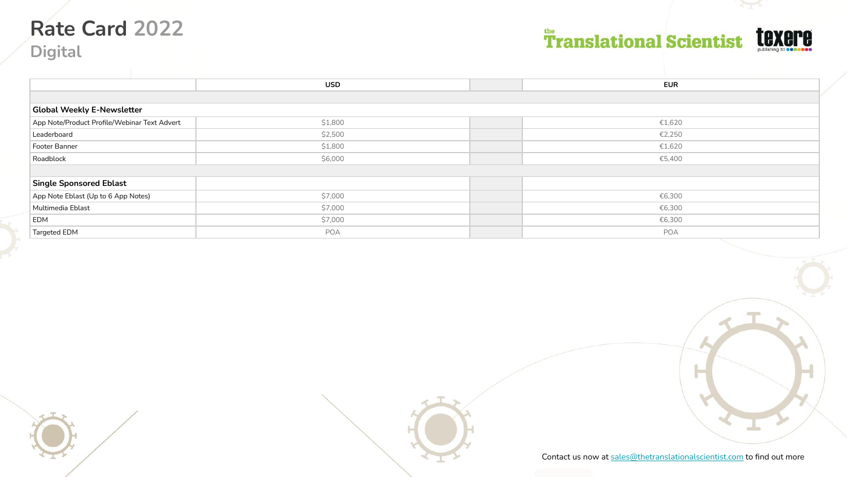# **Rate Card 2022**

**Digital**

# **Translational Scientist**



|                                              | <b>USD</b> | <b>EUR</b> |  |  |
|----------------------------------------------|------------|------------|--|--|
|                                              |            |            |  |  |
| <b>Global Weekly E-Newsletter</b>            |            |            |  |  |
| App Note/Product Profile/Webinar Text Advert | \$1,800    | €1,620     |  |  |
| Leaderboard                                  | \$2,500    | €2,250     |  |  |
| Footer Banner                                | \$1,800    | €1,620     |  |  |
| Roadblock                                    | \$6,000    | €5,400     |  |  |
|                                              |            |            |  |  |
| <b>Single Sponsored Eblast</b>               |            |            |  |  |
| App Note Eblast (Up to 6 App Notes)          | \$7,000    | €6,300     |  |  |
| Multimedia Eblast                            | \$7,000    | €6,300     |  |  |
| <b>EDM</b>                                   | \$7,000    | €6,300     |  |  |
| Targeted EDM                                 | POA        | POA        |  |  |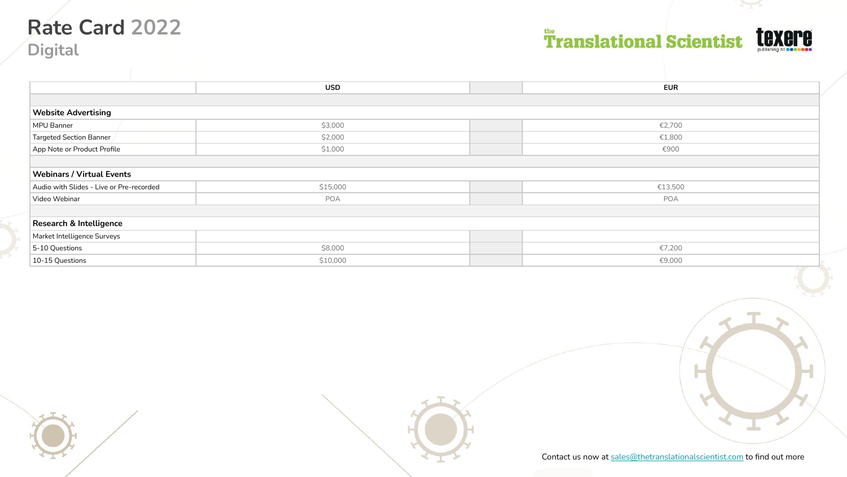### **Rate Card 2022 Digital**

# **Translational Scientist**



|                                          | <b>USD</b> | <b>EUR</b> |
|------------------------------------------|------------|------------|
|                                          |            |            |
| <b>Website Advertising</b>               |            |            |
| MPU Banner                               | \$3,000    | €2,700     |
| Targeted Section Banner                  | \$2,000    | €1,800     |
| App Note or Product Profile              | \$1,000    | €900       |
|                                          |            |            |
| <b>Webinars / Virtual Events</b>         |            |            |
| Audio with Slides - Live or Pre-recorded | \$15,000   | €13,500    |
| Video Webinar                            | POA        | POA        |
|                                          |            |            |
| Research & Intelligence                  |            |            |
| Market Intelligence Surveys              |            |            |
| 5-10 Questions                           | \$8,000    | €7,200     |
| 10-15 Questions                          | \$10,000   | €9,000     |